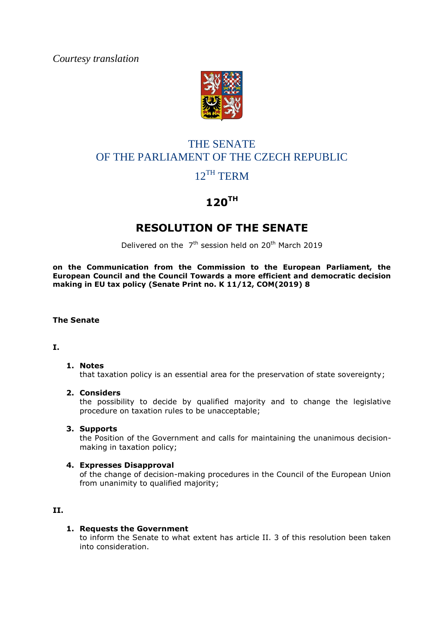*Courtesy translation*



# THE SENATE OF THE PARLIAMENT OF THE CZECH REPUBLIC

## 12<sup>TH</sup> TERM

# **120TH**

### **RESOLUTION OF THE SENATE**

Delivered on the  $7<sup>th</sup>$  session held on 20<sup>th</sup> March 2019

**on the Communication from the Commission to the European Parliament, the European Council and the Council Towards a more efficient and democratic decision making in EU tax policy (Senate Print no. K 11/12, COM(2019) 8**

#### **The Senate**

**I.**

#### **1. Notes** that taxation policy is an essential area for the preservation of state sovereignty;

#### **2. Considers**

the possibility to decide by qualified majority and to change the legislative procedure on taxation rules to be unacceptable;

**3. Supports**

the Position of the Government and calls for maintaining the unanimous decisionmaking in taxation policy;

#### **4. Expresses Disapproval**

of the change of decision-making procedures in the Council of the European Union from unanimity to qualified majority;

#### **II.**

#### **1. Requests the Government**

to inform the Senate to what extent has article II. 3 of this resolution been taken into consideration.